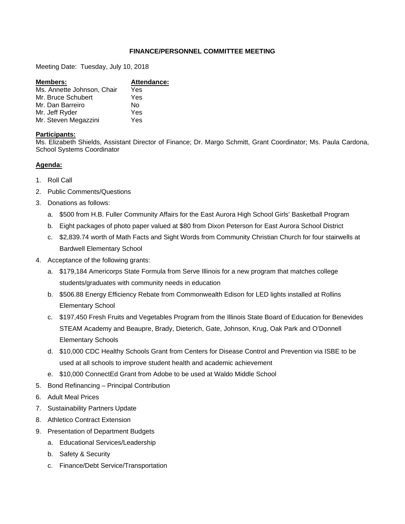## **FINANCE/PERSONNEL COMMITTEE MEETING**

Meeting Date: Tuesday, July 10, 2018

| <b>Members:</b>            | Attendance: |
|----------------------------|-------------|
| Ms. Annette Johnson, Chair | Yes         |
| Mr. Bruce Schubert         | Yes         |
| Mr. Dan Barreiro           | N٥          |
| Mr. Jeff Ryder             | Yes         |
| Mr. Steven Megazzini       | Yes         |

## **Participants:**

Ms. Elizabeth Shields, Assistant Director of Finance; Dr. Margo Schmitt, Grant Coordinator; Ms. Paula Cardona, School Systems Coordinator

# **Agenda:**

- 1. Roll Call
- 2. Public Comments/Questions
- 3. Donations as follows:
	- a. \$500 from H.B. Fuller Community Affairs for the East Aurora High School Girls' Basketball Program
	- b. Eight packages of photo paper valued at \$80 from Dixon Peterson for East Aurora School District
	- c. \$2,839.74 worth of Math Facts and Sight Words from Community Christian Church for four stairwells at Bardwell Elementary School
- 4. Acceptance of the following grants:
	- a. \$179,184 Americorps State Formula from Serve Illinois for a new program that matches college students/graduates with community needs in education
	- b. \$506.88 Energy Efficiency Rebate from Commonwealth Edison for LED lights installed at Rollins Elementary School
	- c. \$197,450 Fresh Fruits and Vegetables Program from the Illinois State Board of Education for Benevides STEAM Academy and Beaupre, Brady, Dieterich, Gate, Johnson, Krug, Oak Park and O'Donnell Elementary Schools
	- d. \$10,000 CDC Healthy Schools Grant from Centers for Disease Control and Prevention via ISBE to be used at all schools to improve student health and academic achievement
	- e. \$10,000 ConnectEd Grant from Adobe to be used at Waldo Middle School
- 5. Bond Refinancing Principal Contribution
- 6. Adult Meal Prices
- 7. Sustainability Partners Update
- 8. Athletico Contract Extension
- 9. Presentation of Department Budgets
	- a. Educational Services/Leadership
	- b. Safety & Security
	- c. Finance/Debt Service/Transportation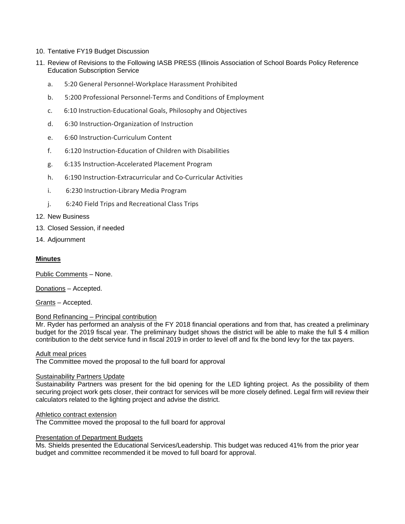- 10. Tentative FY19 Budget Discussion
- 11. Review of Revisions to the Following IASB PRESS (Illinois Association of School Boards Policy Reference Education Subscription Service
	- a. 5:20 General Personnel‐Workplace Harassment Prohibited
	- b. 5:200 Professional Personnel‐Terms and Conditions of Employment
	- c. 6:10 Instruction‐Educational Goals, Philosophy and Objectives
	- d. 6:30 Instruction‐Organization of Instruction
	- e. 6:60 Instruction‐Curriculum Content
	- f. 6:120 Instruction‐Education of Children with Disabilities
	- g. 6:135 Instruction‐Accelerated Placement Program
	- h. 6:190 Instruction-Extracurricular and Co-Curricular Activities
	- i. 6:230 Instruction-Library Media Program
	- j. 6:240 Field Trips and Recreational Class Trips

### 12. New Business

- 13. Closed Session, if needed
- 14. Adjournment

## **Minutes**

Public Comments – None.

Donations – Accepted.

Grants – Accepted.

### Bond Refinancing – Principal contribution

Mr. Ryder has performed an analysis of the FY 2018 financial operations and from that, has created a preliminary budget for the 2019 fiscal year. The preliminary budget shows the district will be able to make the full \$ 4 million contribution to the debt service fund in fiscal 2019 in order to level off and fix the bond levy for the tax payers.

### Adult meal prices

The Committee moved the proposal to the full board for approval

### Sustainability Partners Update

Sustainability Partners was present for the bid opening for the LED lighting project. As the possibility of them securing project work gets closer, their contract for services will be more closely defined. Legal firm will review their calculators related to the lighting project and advise the district.

### Athletico contract extension

The Committee moved the proposal to the full board for approval

## Presentation of Department Budgets

Ms. Shields presented the Educational Services/Leadership. This budget was reduced 41% from the prior year budget and committee recommended it be moved to full board for approval.